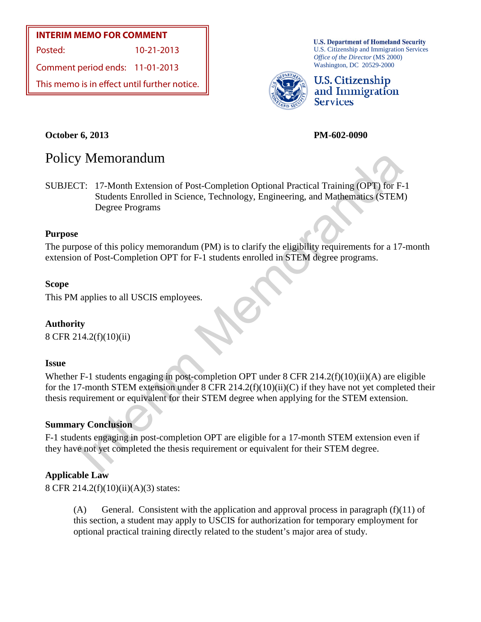## **INTERIM MEMO FOR COMMENT**

Posted: 10-21-2013

Comment period ends: 11-01-2013

This memo is in effect until further notice.

**U.S. Department of Homeland Security** U.S. Citizenship and Immigration Services *Office of the Director* (MS 2000) Washington, DC 20529-2000



U.S. Citizenship and Immigration **Services** 

## **October 6, 2013 PM-602-0090**

# Policy Memorandum

IT: 17-Month Extension of Post-Completion Optional Practical Training (OPT) for F-<br>
Students Enrolled in Science, Technology, Engineering, and Mathematics (STEM<br>
Degree Programs<br>
2.<br>
2. Dose of this policy memorandum (PM) SUBJECT: 17-Month Extension of Post-Completion Optional Practical Training (OPT) for F-1 Students Enrolled in Science, Technology, Engineering, and Mathematics (STEM) Degree Programs

## **Purpose**

The purpose of this policy memorandum (PM) is to clarify the eligibility requirements for a 17-month extension of Post-Completion OPT for F-1 students enrolled in STEM degree programs.

## **Scope**

This PM applies to all USCIS employees.

## **Authority**

8 CFR 214.2(f)(10)(ii)

## **Issue**

Whether F-1 students engaging in post-completion OPT under 8 CFR 214.2(f)(10)(ii)(A) are eligible for the 17-month STEM extension under 8 CFR 214.2(f)(10)(ii)(C) if they have not yet completed their thesis requirement or equivalent for their STEM degree when applying for the STEM extension.

## **Summary Conclusion**

F-1 students engaging in post-completion OPT are eligible for a 17-month STEM extension even if they have not yet completed the thesis requirement or equivalent for their STEM degree.

## **Applicable Law**

8 CFR 214.2(f)(10)(ii)(A)(3) states:

(A) General. Consistent with the application and approval process in paragraph  $(f)(11)$  of this section, a student may apply to USCIS for authorization for temporary employment for optional practical training directly related to the student's major area of study.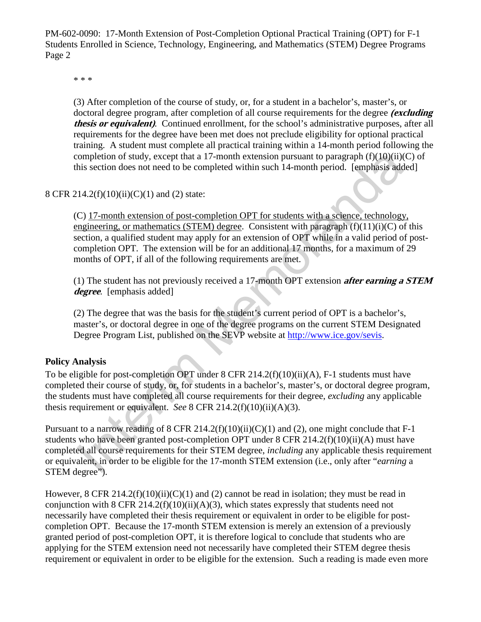PM-602-0090: 17-Month Extension of Post-Completion Optional Practical Training (OPT) for F-1 Students Enrolled in Science, Technology, Engineering, and Mathematics (STEM) Degree Programs Page 2

\* \* \*

(3) After completion of the course of study, or, for a student in a bachelor's, master's, or doctoral degree program, after completion of all course requirements for the degree **(excluding thesis or equivalent)**. Continued enrollment, for the school's administrative purposes, after all requirements for the degree have been met does not preclude eligibility for optional practical training. A student must complete all practical training within a 14-month period following the completion of study, except that a 17-month extension pursuant to paragraph  $(f)(10)(ii)(C)$  of this section does not need to be completed within such 14-month period. [emphasis added]

## 8 CFR 214.2(f)(10)(ii)(C)(1) and (2) state:

completion of study, except that a 17-month extension pursuant to paragraph (f)(10)(ii)(iis section does not need to be completed within such 14-month period. [emphasis add 14.2(f)(10)(ii)(C)(1) and (2) state:<br>
C) 17-mont (C) 17-month extension of post-completion OPT for students with a science, technology, engineering, or mathematics (STEM) degree. Consistent with paragraph  $(f)(11)(i)(C)$  of this section, a qualified student may apply for an extension of OPT while in a valid period of postcompletion OPT. The extension will be for an additional 17 months, for a maximum of 29 months of OPT, if all of the following requirements are met.

(1) The student has not previously received a 17-month OPT extension **after earning a STEM degree**. [emphasis added]

(2) The degree that was the basis for the student's current period of OPT is a bachelor's, master's, or doctoral degree in one of the degree programs on the current STEM Designated Degree Program List, published on the SEVP website at http://www.ice.gov/sevis.

#### **Policy Analysis**

To be eligible for post-completion OPT under 8 CFR 214.2(f)(10)(ii)(A), F-1 students must have completed their course of study, or, for students in a bachelor's, master's, or doctoral degree program, the students must have completed all course requirements for their degree, *excluding* any applicable thesis requirement or equivalent. *See* 8 CFR 214.2(f)(10)(ii)(A)(3).

Pursuant to a narrow reading of 8 CFR 214.2(f)(10)(ii)(C)(1) and (2), one might conclude that  $F-1$ students who have been granted post-completion OPT under 8 CFR 214.2(f)(10)(ii)(A) must have completed all course requirements for their STEM degree, *including* any applicable thesis requirement or equivalent, in order to be eligible for the 17-month STEM extension (i.e., only after "*earning* a STEM degree").

However, 8 CFR 214.2(f)(10)(ii)(C)(1) and (2) cannot be read in isolation; they must be read in conjunction with 8 CFR 214.2(f)(10)(ii)(A)(3), which states expressly that students need not necessarily have completed their thesis requirement or equivalent in order to be eligible for postcompletion OPT. Because the 17-month STEM extension is merely an extension of a previously granted period of post-completion OPT, it is therefore logical to conclude that students who are applying for the STEM extension need not necessarily have completed their STEM degree thesis requirement or equivalent in order to be eligible for the extension. Such a reading is made even more